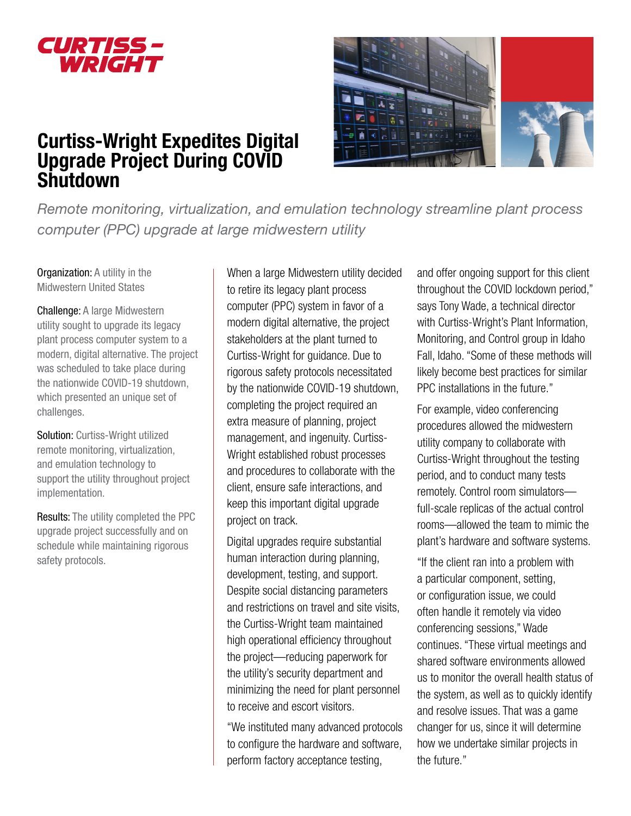

# Curtiss-Wright Expedites Digital Upgrade Project During COVID Shutdown



*Remote monitoring, virtualization, and emulation technology streamline plant process computer (PPC) upgrade at large midwestern utility*

Organization: A utility in the Midwestern United States

Challenge: A large Midwestern utility sought to upgrade its legacy plant process computer system to a modern, digital alternative. The project was scheduled to take place during the nationwide COVID-19 shutdown, which presented an unique set of challenges.

Solution: Curtiss-Wright utilized remote monitoring, virtualization, and emulation technology to support the utility throughout project implementation.

Results: The utility completed the PPC upgrade project successfully and on schedule while maintaining rigorous safety protocols.

When a large Midwestern utility decided to retire its legacy plant process computer (PPC) system in favor of a modern digital alternative, the project stakeholders at the plant turned to Curtiss-Wright for guidance. Due to rigorous safety protocols necessitated by the nationwide COVID-19 shutdown, completing the project required an extra measure of planning, project management, and ingenuity. Curtiss-Wright established robust processes and procedures to collaborate with the client, ensure safe interactions, and keep this important digital upgrade project on track.

Digital upgrades require substantial human interaction during planning, development, testing, and support. Despite social distancing parameters and restrictions on travel and site visits, the Curtiss-Wright team maintained high operational efficiency throughout the project—reducing paperwork for the utility's security department and minimizing the need for plant personnel to receive and escort visitors.

"We instituted many advanced protocols to configure the hardware and software, perform factory acceptance testing,

and offer ongoing support for this client throughout the COVID lockdown period," says Tony Wade, a technical director with Curtiss-Wright's Plant Information, Monitoring, and Control group in Idaho Fall, Idaho. "Some of these methods will likely become best practices for similar PPC installations in the future."

For example, video conferencing procedures allowed the midwestern utility company to collaborate with Curtiss-Wright throughout the testing period, and to conduct many tests remotely. Control room simulators full-scale replicas of the actual control rooms—allowed the team to mimic the plant's hardware and software systems.

"If the client ran into a problem with a particular component, setting, or configuration issue, we could often handle it remotely via video conferencing sessions," Wade continues. "These virtual meetings and shared software environments allowed us to monitor the overall health status of the system, as well as to quickly identify and resolve issues. That was a game changer for us, since it will determine how we undertake similar projects in the future."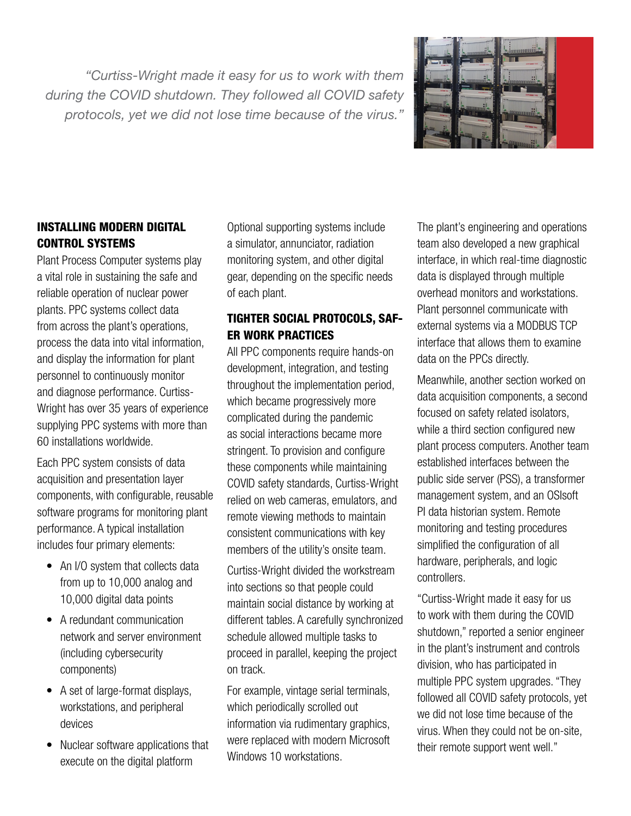*"Curtiss-Wright made it easy for us to work with them during the COVID shutdown. They followed all COVID safety protocols, yet we did not lose time because of the virus."*



#### INSTALLING MODERN DIGITAL CONTROL SYSTEMS

Plant Process Computer systems play a vital role in sustaining the safe and reliable operation of nuclear power plants. PPC systems collect data from across the plant's operations, process the data into vital information, and display the information for plant personnel to continuously monitor and diagnose performance. Curtiss-Wright has over 35 years of experience supplying PPC systems with more than 60 installations worldwide.

Each PPC system consists of data acquisition and presentation layer components, with configurable, reusable software programs for monitoring plant performance. A typical installation includes four primary elements:

- An I/O system that collects data from up to 10,000 analog and 10,000 digital data points
- A redundant communication network and server environment (including cybersecurity components)
- A set of large-format displays, workstations, and peripheral devices
- Nuclear software applications that execute on the digital platform

Optional supporting systems include a simulator, annunciator, radiation monitoring system, and other digital gear, depending on the specific needs of each plant.

## TIGHTER SOCIAL PROTOCOLS, SAF-ER WORK PRACTICES

All PPC components require hands-on development, integration, and testing throughout the implementation period, which became progressively more complicated during the pandemic as social interactions became more stringent. To provision and configure these components while maintaining COVID safety standards, Curtiss-Wright relied on web cameras, emulators, and remote viewing methods to maintain consistent communications with key members of the utility's onsite team.

Curtiss-Wright divided the workstream into sections so that people could maintain social distance by working at different tables. A carefully synchronized schedule allowed multiple tasks to proceed in parallel, keeping the project on track.

For example, vintage serial terminals, which periodically scrolled out information via rudimentary graphics, were replaced with modern Microsoft Windows 10 workstations.

The plant's engineering and operations team also developed a new graphical interface, in which real-time diagnostic data is displayed through multiple overhead monitors and workstations. Plant personnel communicate with external systems via a MODBUS TCP interface that allows them to examine data on the PPCs directly.

Meanwhile, another section worked on data acquisition components, a second focused on safety related isolators, while a third section configured new plant process computers. Another team established interfaces between the public side server (PSS), a transformer management system, and an OSIsoft PI data historian system. Remote monitoring and testing procedures simplified the configuration of all hardware, peripherals, and logic controllers.

"Curtiss-Wright made it easy for us to work with them during the COVID shutdown," reported a senior engineer in the plant's instrument and controls division, who has participated in multiple PPC system upgrades. "They followed all COVID safety protocols, yet we did not lose time because of the virus. When they could not be on-site, their remote support went well."